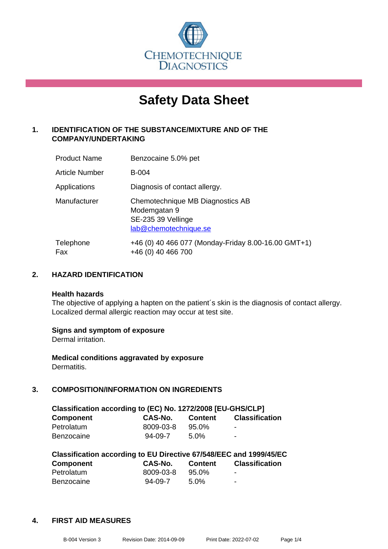

# **Safety Data Sheet**

# **1. IDENTIFICATION OF THE SUBSTANCE/MIXTURE AND OF THE COMPANY/UNDERTAKING**

| <b>Product Name</b>   | Benzocaine 5.0% pet                                                                             |
|-----------------------|-------------------------------------------------------------------------------------------------|
| <b>Article Number</b> | <b>B-004</b>                                                                                    |
| Applications          | Diagnosis of contact allergy.                                                                   |
| Manufacturer          | Chemotechnique MB Diagnostics AB<br>Modemgatan 9<br>SE-235 39 Vellinge<br>lab@chemotechnique.se |
| Telephone<br>Fax      | +46 (0) 40 466 077 (Monday-Friday 8.00-16.00 GMT+1)<br>+46 (0) 40 466 700                       |

#### **2. HAZARD IDENTIFICATION**

#### **Health hazards**

The objective of applying a hapten on the patient's skin is the diagnosis of contact allergy. Localized dermal allergic reaction may occur at test site.

#### **Signs and symptom of exposure**

Dermal irritation.

**Medical conditions aggravated by exposure** Dermatitis.

# **3. COMPOSITION/INFORMATION ON INGREDIENTS**

| Classification according to (EC) No. 1272/2008 [EU-GHS/CLP] |               |          |                       |  |
|-------------------------------------------------------------|---------------|----------|-----------------------|--|
| <b>Component</b>                                            | CAS-No.       | Content  | <b>Classification</b> |  |
| Petrolatum                                                  | 8009-03-8     | $95.0\%$ | -                     |  |
| <b>Benzocaine</b>                                           | $94 - 09 - 7$ | $5.0\%$  | -                     |  |

| Classification according to EU Directive 67/548/EEC and 1999/45/EC |               |                |                       |  |  |
|--------------------------------------------------------------------|---------------|----------------|-----------------------|--|--|
| <b>Component</b>                                                   | CAS-No.       | <b>Content</b> | <b>Classification</b> |  |  |
| Petrolatum                                                         | 8009-03-8     | 95.0%          | $\blacksquare$        |  |  |
| <b>Benzocaine</b>                                                  | $94 - 09 - 7$ | $5.0\%$        | -                     |  |  |

#### **4. FIRST AID MEASURES**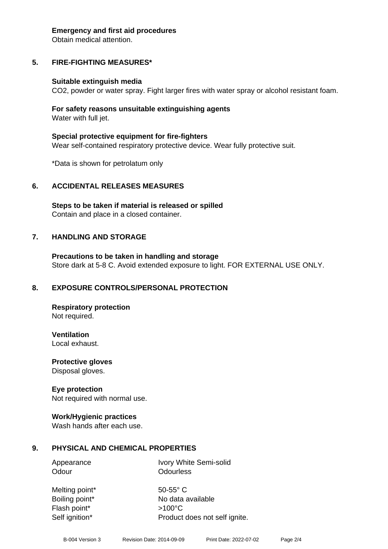#### **Emergency and first aid procedures**

Obtain medical attention.

# **5. FIRE-FIGHTING MEASURES\***

#### **Suitable extinguish media**

CO2, powder or water spray. Fight larger fires with water spray or alcohol resistant foam.

#### **For safety reasons unsuitable extinguishing agents** Water with full jet.

**Special protective equipment for fire-fighters**

Wear self-contained respiratory protective device. Wear fully protective suit.

\*Data is shown for petrolatum only

# **6. ACCIDENTAL RELEASES MEASURES**

**Steps to be taken if material is released or spilled** Contain and place in a closed container.

# **7. HANDLING AND STORAGE**

**Precautions to be taken in handling and storage** Store dark at 5-8 C. Avoid extended exposure to light. FOR EXTERNAL USE ONLY.

#### **8. EXPOSURE CONTROLS/PERSONAL PROTECTION**

**Respiratory protection** Not required.

**Ventilation**

Local exhaust.

**Protective gloves** Disposal gloves.

#### **Eye protection**

Not required with normal use.

#### **Work/Hygienic practices**

Wash hands after each use.

#### **9. PHYSICAL AND CHEMICAL PROPERTIES**

Appearance Ivory White Semi-solid Odour **Odourless** 

Melting point\* 50-55° C Flash point\* >100°C

Boiling point\* No data available Self ignition\* Product does not self ignite.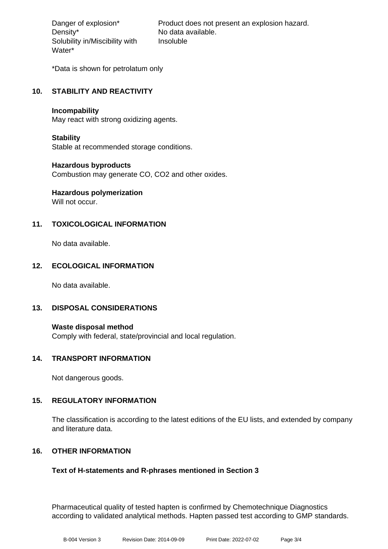Density\* No data available. Solubility in/Miscibility with Water\*

Danger of explosion\* Product does not present an explosion hazard. Insoluble

\*Data is shown for petrolatum only

# **10. STABILITY AND REACTIVITY**

#### **Incompability**

May react with strong oxidizing agents.

#### **Stability**

Stable at recommended storage conditions.

#### **Hazardous byproducts**

Combustion may generate CO, CO2 and other oxides.

# **Hazardous polymerization**

Will not occur.

# **11. TOXICOLOGICAL INFORMATION**

No data available.

#### **12. ECOLOGICAL INFORMATION**

No data available.

#### **13. DISPOSAL CONSIDERATIONS**

**Waste disposal method** Comply with federal, state/provincial and local regulation.

#### **14. TRANSPORT INFORMATION**

Not dangerous goods.

#### **15. REGULATORY INFORMATION**

The classification is according to the latest editions of the EU lists, and extended by company and literature data.

#### **16. OTHER INFORMATION**

#### **Text of H-statements and R-phrases mentioned in Section 3**

Pharmaceutical quality of tested hapten is confirmed by Chemotechnique Diagnostics according to validated analytical methods. Hapten passed test according to GMP standards.